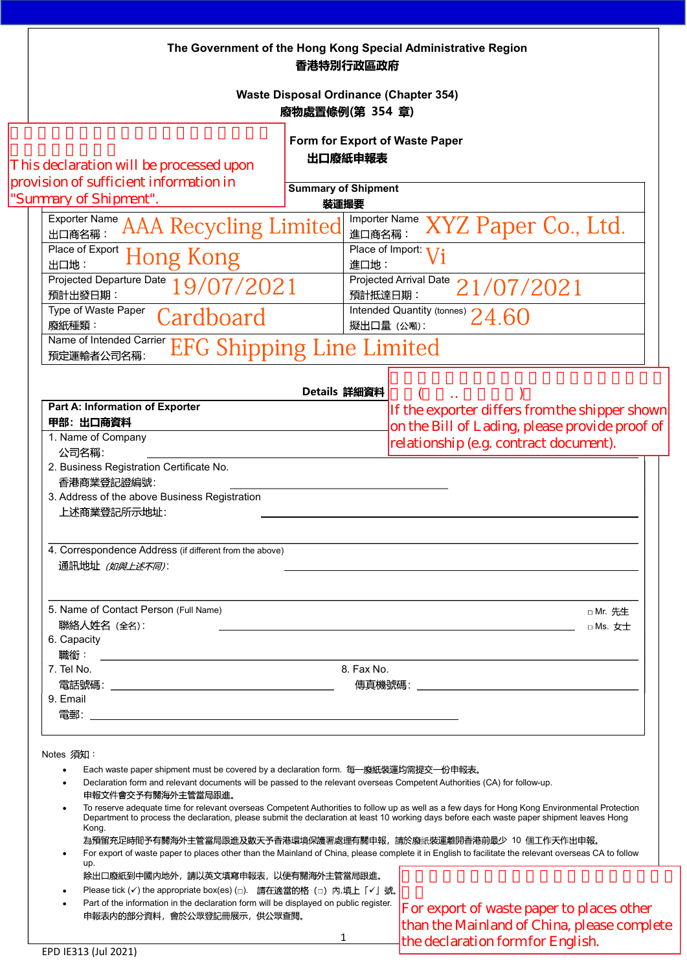This declaration will be processed upon<br>provision of sufficient information in "Summary of Shipment".

> $\left| \begin{array}{cc} ( & ) \\ \text{If the explorer differs from the shipper shown} \end{array} \right|$ on the Bill of Lading, please provide proof of<br>relationship (e.g. contract document).

For export of waste paper to places other<br>than the Mainland of China, please complete the declaration form for English.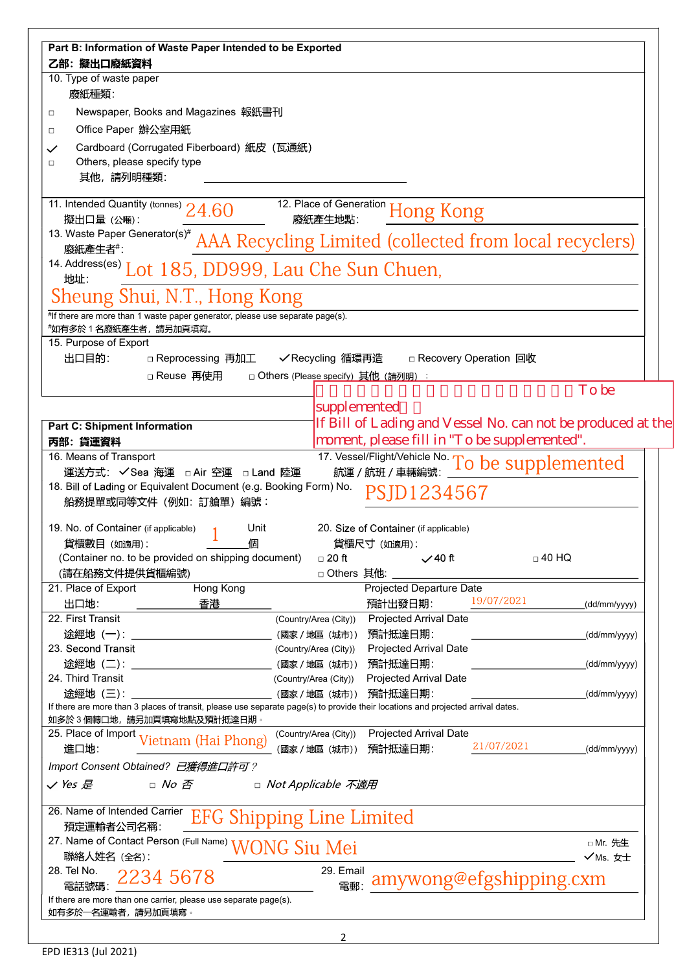| Part B: Information of Waste Paper Intended to be Exported                                                                                                   |                                      |                                                             |                         |              |  |
|--------------------------------------------------------------------------------------------------------------------------------------------------------------|--------------------------------------|-------------------------------------------------------------|-------------------------|--------------|--|
| 乙部: 擬出口廢紙資料                                                                                                                                                  |                                      |                                                             |                         |              |  |
| 10. Type of waste paper                                                                                                                                      |                                      |                                                             |                         |              |  |
| 廢紙種類:                                                                                                                                                        |                                      |                                                             |                         |              |  |
| Newspaper, Books and Magazines 報紙書刊<br>□                                                                                                                     |                                      |                                                             |                         |              |  |
| Office Paper 辦公室用紙<br>□                                                                                                                                      |                                      |                                                             |                         |              |  |
| Cardboard (Corrugated Fiberboard) 紙皮 (瓦通紙)<br>$\checkmark$                                                                                                   |                                      |                                                             |                         |              |  |
| Others, please specify type<br>□<br>其他,請列明種類:                                                                                                                |                                      |                                                             |                         |              |  |
|                                                                                                                                                              |                                      |                                                             |                         |              |  |
| 12. Place of Generation Hong Kong<br>11. Intended Quantity (tonnes) $24.60$                                                                                  |                                      |                                                             |                         |              |  |
| 擬出口量 (公噸):                                                                                                                                                   |                                      |                                                             |                         |              |  |
| 13. Waste Paper Generator(s) <sup>#</sup> AAA Recycling Limited (collected from local recyclers)                                                             |                                      |                                                             |                         |              |  |
| 14. Address(es) Lot 185, DD999, Lau Che Sun Chuen,<br>地址:                                                                                                    |                                      |                                                             |                         |              |  |
| Sheung Shui, N.T., Hong Kong                                                                                                                                 |                                      |                                                             |                         |              |  |
| $*$ If there are more than 1 waste paper generator, please use separate page(s).                                                                             |                                      |                                                             |                         |              |  |
| *如有多於1名廢紙產生者,請另加頁填寫。                                                                                                                                         |                                      |                                                             |                         |              |  |
| 15. Purpose of Export                                                                                                                                        |                                      |                                                             |                         |              |  |
| 出口目的:<br>□ Reprocessing 再加工                                                                                                                                  | ✔ Recycling 循環再造                     |                                                             | □ Recovery Operation 回收 |              |  |
| □ Reuse 再使用                                                                                                                                                  | □ Others (Please specify) 其他 (請列明) : |                                                             |                         | <b>To be</b> |  |
|                                                                                                                                                              | supplemented                         |                                                             |                         |              |  |
| <b>Part C: Shipment Information</b>                                                                                                                          |                                      | If Bill of Lading and Vessel No. can not be produced at the |                         |              |  |
| 丙部: 貨運資料                                                                                                                                                     |                                      | moment, please fill in "To be supplemented".                |                         |              |  |
| 16. Means of Transport                                                                                                                                       |                                      | 17. Vessel/Flight/Vehicle No. To be supplemented            |                         |              |  |
| 運送方式: √Sea 海運 □ Air 空運 □ Land 陸運                                                                                                                             |                                      |                                                             |                         |              |  |
| 18. Bill of Lading or Equivalent Document (e.g. Booking Form) No.<br>PSJD1234567                                                                             |                                      |                                                             |                         |              |  |
| 船務提單或同等文件 (例如: 訂艙單) 編號:                                                                                                                                      |                                      |                                                             |                         |              |  |
| 19. No. of Container (if applicable)<br>Unit                                                                                                                 |                                      | 20. Size of Container (if applicable)                       |                         |              |  |
| 貨櫃數目 (如適用):<br>個                                                                                                                                             |                                      | 貨櫃尺寸 (如適用):                                                 |                         |              |  |
| (Container no. to be provided on shipping document)                                                                                                          | $\Box$ 20 ft                         | $\sqrt{40}$ ft                                              | $\Box$ 40 HQ            |              |  |
| (請在船務文件提供貨櫃編號)                                                                                                                                               | □ Others 其他:                         |                                                             |                         |              |  |
| Hong Kong<br>21. Place of Export                                                                                                                             |                                      | Projected Departure Date                                    | 19/07/2021              |              |  |
| 出口地:<br>香港<br>22. First Transit                                                                                                                              | (Country/Area (City))                | 預計出發日期:<br><b>Projected Arrival Date</b>                    |                         | (dd/mm/yyyy) |  |
| 途經地 (一): ______________                                                                                                                                      | (國家 / 地區 (城市))                       | 預計抵達日期:                                                     |                         | (dd/mm/yyyy) |  |
| 23. Second Transit                                                                                                                                           | (Country/Area (City))                | Projected Arrival Date                                      |                         |              |  |
| 途經地 (二):                                                                                                                                                     | (國家 / 地區 (城市))                       | 預計抵達日期:                                                     |                         | (dd/mm/yyyy) |  |
| 24. Third Transit                                                                                                                                            | (Country/Area (City))                | Projected Arrival Date                                      |                         |              |  |
| <u> 途經地(三):_____________________________</u>                                                                                                                 | (國家 / 地區 (城市))                       | 預計抵達日期:                                                     |                         | (dd/mm/yyyy) |  |
| If there are more than 3 places of transit, please use separate page(s) to provide their locations and projected arrival dates.<br>如多於3個轉口地,請另加頁填寫地點及預計抵達日期。 |                                      |                                                             |                         |              |  |
| 25. Place of Import Vietnam (Hai Phong)                                                                                                                      | (Country/Area (City))                | Projected Arrival Date                                      |                         |              |  |
| 進口地:                                                                                                                                                         | (國家 / 地區 (城市))                       | 預計抵達日期:                                                     | 21/07/2021              | (dd/mm/yyyy) |  |
| Import Consent Obtained? 已獲得進口許可?                                                                                                                            |                                      |                                                             |                         |              |  |
| $\Box$ No $\bar{\mathcal{B}}$<br>$\checkmark$ Yes 是                                                                                                          | □ Not Applicable 不適用                 |                                                             |                         |              |  |
| 26. Name of Intended Carrier<br><b>EFG Shipping Line Limited</b><br>預定運輸者公司名稱:                                                                               |                                      |                                                             |                         |              |  |
| 27. Name of Contact Person (Full Name) WONG Siu Mei                                                                                                          |                                      |                                                             |                         | □ Mr. 先生     |  |
| 聯絡人姓名 (全名):                                                                                                                                                  |                                      |                                                             |                         | √Ms. 女士      |  |
| 28. Tel No.<br>2234 5678<br>電話號碼:                                                                                                                            | 29. Email<br>電郵:                     |                                                             | amywong@efgshipping.cxm |              |  |
| If there are more than one carrier, please use separate page(s).                                                                                             |                                      |                                                             |                         |              |  |
| 如有多於一名運輸者,請另加頁填寫                                                                                                                                             |                                      |                                                             |                         |              |  |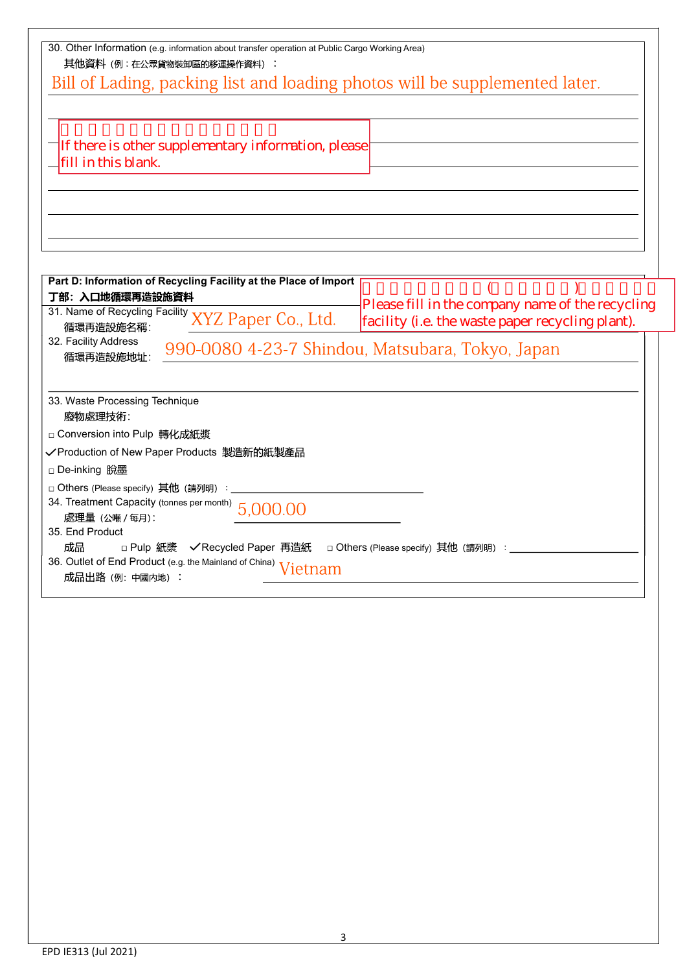| 30. Other Information (e.g. information about transfer operation at Public Cargo Working Area)<br>其他資料(例:在公眾貨物裝卸區的移運操作資料):<br>Bill of Lading, packing list and loading photos will be supplemented later.<br>There is other supplementary information, please<br>fill in this blank.                                                                                                                                  |  |  |  |  |  |
|-----------------------------------------------------------------------------------------------------------------------------------------------------------------------------------------------------------------------------------------------------------------------------------------------------------------------------------------------------------------------------------------------------------------------|--|--|--|--|--|
| Part D: Information of Recycling Facility at the Place of Import<br>丁部: 入口地循環再造設施資料                                                                                                                                                                                                                                                                                                                                   |  |  |  |  |  |
| Please fill in the company name of the recycling<br>31. Name of Recycling Facility XYZ Paper Co., Ltd.<br>facility (i.e. the waste paper recycling plant).                                                                                                                                                                                                                                                            |  |  |  |  |  |
| 循環再造設施名稱:<br>32. Facility Address<br>990-0080 4-23-7 Shindou, Matsubara, Tokyo, Japan<br>循環再造設施地址:                                                                                                                                                                                                                                                                                                                    |  |  |  |  |  |
| 33. Waste Processing Technique<br>廢物處理技術:<br>□ Conversion into Pulp 轉化成紙漿<br>✔Production of New Paper Products 製造新的紙製產品<br>□ De-inking 脫墨<br>□ Others (Please specify) 其他 (請列明) :<br>34. Treatment Capacity (tonnes per month) $5,000,00$<br> 處理量 (公噸 / 每月):<br>35. End Product<br>成品<br>□ Others (Please specify) 其他 (請列明) : _<br>36. Outlet of End Product (e.g. the Mainland of China) Vietnam<br>成品出路 (例: 中國内地) : |  |  |  |  |  |